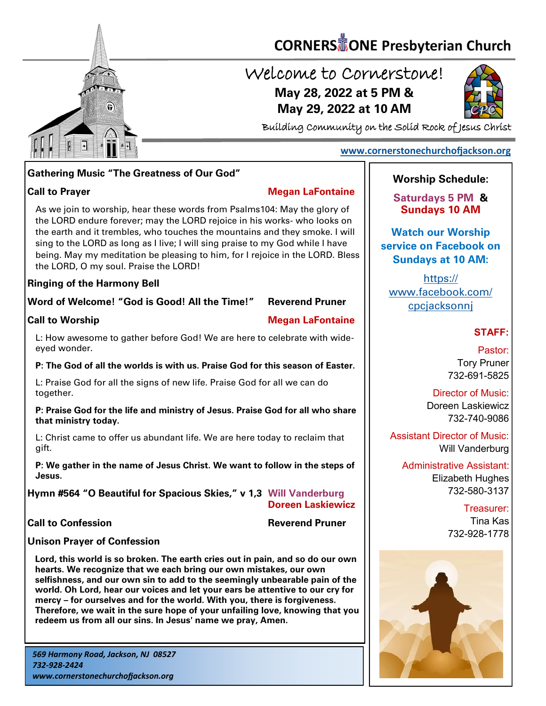

# **CORNERS TONE Presbyterian Church**

## Welcome to Cornerstone! **May 28, 2022 at 5 PM & May 29, 2022 at 10 AM**



Building Community on the Solid Rock of Jesus Christ

### **Gathering Music "The Greatness of Our God"**

#### **Call to Prayer Megan LaFontaine**

 the LORD endure forever; may the LORD rejoice in his works- who looks on As we join to worship, hear these words from Psalms104: May the glory of the earth and it trembles, who touches the mountains and they smoke. I will sing to the LORD as long as I live; I will sing praise to my God while I have being. May my meditation be pleasing to him, for I rejoice in the LORD. Bless the LORD, O my soul. Praise the LORD!

#### **Ringing of the Harmony Bell**

#### **Word of Welcome! "God is Good! All the Time!" Reverend Pruner**

#### **Call to Worship Megan LaFontaine**

L: How awesome to gather before God! We are here to celebrate with wideeyed wonder.

#### **P: The God of all the worlds is with us. Praise God for this season of Easter.**

L: Praise God for all the signs of new life. Praise God for all we can do together.

#### **P: Praise God for the life and ministry of Jesus. Praise God for all who share that ministry today.**

L: Christ came to offer us abundant life. We are here today to reclaim that gift.

**P: We gather in the name of Jesus Christ. We want to follow in the steps of Jesus.**

**Hymn #564 "O Beautiful for Spacious Skies," v 1,3 Will Vanderburg Doreen Laskiewicz**

**Call to Confession Reverend Pruner** 

#### **Unison Prayer of Confession**

**Lord, this world is so broken. The earth cries out in pain, and so do our own hearts. We recognize that we each bring our own mistakes, our own selfishness, and our own sin to add to the seemingly unbearable pain of the world. Oh Lord, hear our voices and let your ears be attentive to our cry for mercy – for ourselves and for the world. With you, there is forgiveness. Therefore, we wait in the sure hope of your unfailing love, knowing that you redeem us from all our sins. In Jesus' name we pray, Amen.**

### **Worship Schedule:**

**[www.cornerstonechurchofjackson.org](http://www.cornerstonechurchofjackson.org)**

**Saturdays 5 PM & Sundays 10 AM**

**Watch our Worship service on Facebook on Sundays at 10 AM:**

[https://](https://www.facebook.com/cpcjacksonnj) [www.facebook.com/](https://www.facebook.com/cpcjacksonnj) [cpcjacksonnj](https://www.facebook.com/cpcjacksonnj)

#### **STAFF:**

Pastor: Tory Pruner 732-691-5825

Director of Music: Doreen Laskiewicz 732-740-9086

Assistant Director of Music: Will Vanderburg

Administrative Assistant: Elizabeth Hughes 732-580-3137

> Treasurer: Tina Kas 732-928-1778